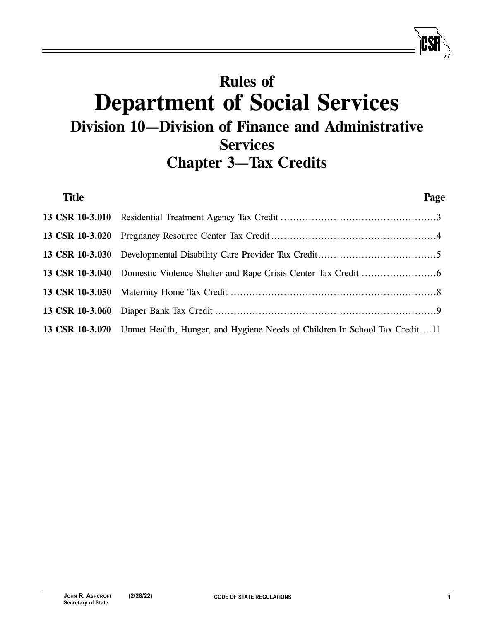# **Rules of Department of Social Services Division 10—Division of Finance and Administrative Services Chapter 3—Tax Credits**

| <b>Title</b> |                                                                                            | Page |
|--------------|--------------------------------------------------------------------------------------------|------|
|              |                                                                                            |      |
|              |                                                                                            |      |
|              |                                                                                            |      |
|              | 13 CSR 10-3.040 Domestic Violence Shelter and Rape Crisis Center Tax Credit                |      |
|              |                                                                                            |      |
|              |                                                                                            |      |
|              | 13 CSR 10-3.070 Unmet Health, Hunger, and Hygiene Needs of Children In School Tax Credit11 |      |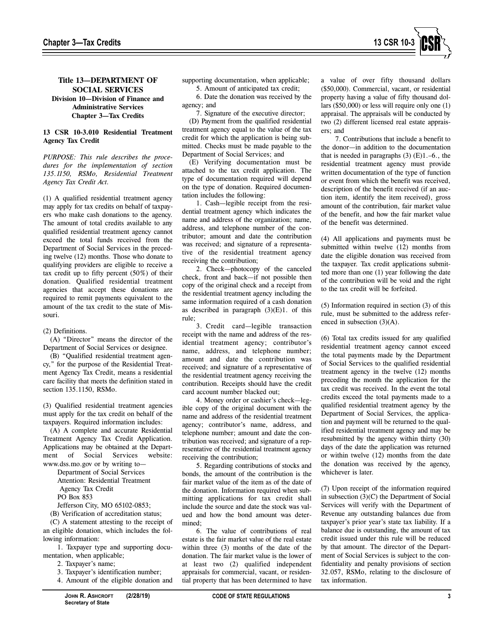

# **Title 13—DEPARTMENT OF SOCIAL SERVICES Division 10—Division of Finance and Administrative Services Chapter 3—Tax Credits**

## **13 CSR 10-3.010 Residential Treatment Agency Tax Credit**

*PURPOSE: This rule describes the procedures for the implementation of section 135.1150, RSMo, Residential Treatment Agency Tax Credit Act.* 

(1) A qualified residential treatment agency may apply for tax credits on behalf of taxpayers who make cash donations to the agency. The amount of total credits available to any qualified residential treatment agency cannot exceed the total funds received from the Department of Social Services in the preceding twelve (12) months. Those who donate to qualifying providers are eligible to receive a tax credit up to fifty percent (50%) of their donation. Qualified residential treatment agencies that accept these donations are required to remit payments equivalent to the amount of the tax credit to the state of Missouri.

#### (2) Definitions.

(A) "Director" means the director of the Department of Social Services or designee.

(B) "Qualified residential treatment agency," for the purpose of the Residential Treatment Agency Tax Credit, means a residential care facility that meets the definition stated in section 135.1150, RSMo.

(3) Qualified residential treatment agencies must apply for the tax credit on behalf of the taxpayers. Required information includes:

(A) A complete and accurate Residential Treatment Agency Tax Credit Application. Applications may be obtained at the Department of Social Services website: www.dss.mo.gov or by writing to—

> Department of Social Services Attention: Residential Treatment Agency Tax Credit PO Box 853

Jefferson City, MO 65102-0853;

(B) Verification of accreditation status; (C) A statement attesting to the receipt of an eligible donation, which includes the following information:

1. Taxpayer type and supporting documentation, when applicable;

- 2. Taxpayer's name;
- 3. Taxpayer's identification number;
- 4. Amount of the eligible donation and

supporting documentation, when applicable;

5. Amount of anticipated tax credit;

6. Date the donation was received by the agency; and

7. Signature of the executive director;

(D) Payment from the qualified residential treatment agency equal to the value of the tax credit for which the application is being submitted. Checks must be made payable to the Department of Social Services; and

(E) Verifying documentation must be attached to the tax credit application. The type of documentation required will depend on the type of donation. Required documentation includes the following:

1. Cash—legible receipt from the residential treatment agency which indicates the name and address of the organization; name, address, and telephone number of the contributor; amount and date the contribution was received; and signature of a representative of the residential treatment agency receiving the contribution;

2. Check—photocopy of the canceled check, front and back—if not possible then copy of the original check and a receipt from the residential treatment agency including the same information required of a cash donation as described in paragraph  $(3)(E)1$ . of this rule;

3. Credit card—legible transaction receipt with the name and address of the residential treatment agency; contributor's name, address, and telephone number; amount and date the contribution was received; and signature of a representative of the residential treatment agency receiving the contribution. Receipts should have the credit card account number blacked out;

4. Money order or cashier's check—legible copy of the original document with the name and address of the residential treatment agency; contributor's name, address, and telephone number; amount and date the contribution was received; and signature of a representative of the residential treatment agency receiving the contribution;

5. Regarding contributions of stocks and bonds, the amount of the contribution is the fair market value of the item as of the date of the donation. Information required when submitting applications for tax credit shall include the source and date the stock was valued and how the bond amount was determined;

6. The value of contributions of real estate is the fair market value of the real estate within three (3) months of the date of the donation. The fair market value is the lower of at least two (2) qualified independent appraisals for commercial, vacant, or residential property that has been determined to have

a value of over fifty thousand dollars (\$50,000). Commercial, vacant, or residential property having a value of fifty thousand dollars (\$50,000) or less will require only one (1) appraisal. The appraisals will be conducted by two (2) different licensed real estate appraisers; and

7. Contributions that include a benefit to the donor—in addition to the documentation that is needed in paragraphs  $(3)$   $(E)$ 1.-6., the residential treatment agency must provide written documentation of the type of function or event from which the benefit was received, description of the benefit received (if an auction item, identify the item received), gross amount of the contribution, fair market value of the benefit, and how the fair market value of the benefit was determined.

(4) All applications and payments must be submitted within twelve (12) months from date the eligible donation was received from the taxpayer. Tax credit applications submitted more than one (1) year following the date of the contribution will be void and the right to the tax credit will be forfeited.

(5) Information required in section (3) of this rule, must be submitted to the address referenced in subsection (3)(A).

(6) Total tax credits issued for any qualified residential treatment agency cannot exceed the total payments made by the Department of Social Services to the qualified residential treatment agency in the twelve (12) months preceding the month the application for the tax credit was received. In the event the total credits exceed the total payments made to a qualified residential treatment agency by the Department of Social Services, the application and payment will be returned to the qualified residential treatment agency and may be resubmitted by the agency within thirty (30) days of the date the application was returned or within twelve (12) months from the date the donation was received by the agency, whichever is later.

(7) Upon receipt of the information required in subsection (3)(C) the Department of Social Services will verify with the Department of Revenue any outstanding balances due from taxpayer's prior year's state tax liability. If a balance due is outstanding, the amount of tax credit issued under this rule will be reduced by that amount. The director of the Department of Social Services is subject to the confidentiality and penalty provisions of section 32.057, RSMo, relating to the disclosure of tax information.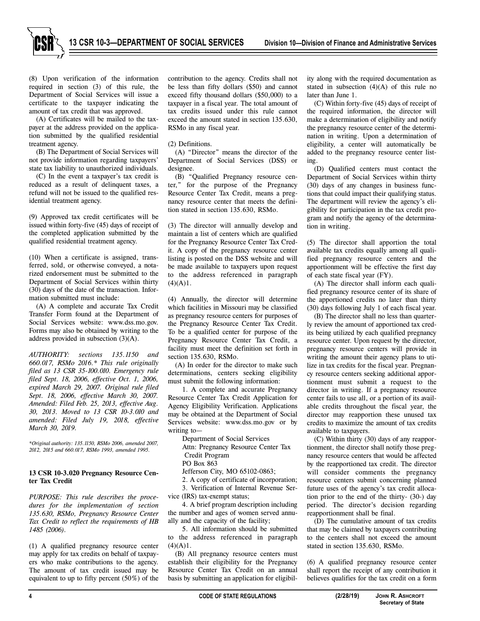**13 CSR 10-3—DEPARTMENT OF SOCIAL SERVICES Division 10—Division of Finance and Administrative Services**



(8) Upon verification of the information required in section (3) of this rule, the Department of Social Services will issue a certificate to the taxpayer indicating the amount of tax credit that was approved.

(A) Certificates will be mailed to the taxpayer at the address provided on the application submitted by the qualified residential treatment agency.

(B) The Department of Social Services will not provide information regarding taxpayers' state tax liability to unauthorized individuals.

(C) In the event a taxpayer's tax credit is reduced as a result of delinquent taxes, a refund will not be issued to the qualified residential treatment agency.

(9) Approved tax credit certificates will be issued within forty-five (45) days of receipt of the completed application submitted by the qualified residential treatment agency.

(10) When a certificate is assigned, transferred, sold, or otherwise conveyed, a notarized endorsement must be submitted to the Department of Social Services within thirty (30) days of the date of the transaction. Information submitted must include:

(A) A complete and accurate Tax Credit Transfer Form found at the Department of Social Services website: www.dss.mo.gov. Forms may also be obtained by writing to the address provided in subsection (3)(A).

*AUTHORITY: sections 135.1150 and 660.017, RSMo 2016.\* This rule originally filed as 13 CSR 35-100.010. Emergency rule filed Sept. 18, 2006, effective Oct. 1, 2006, expired March 29, 2007. Original rule filed Sept. 18, 2006, effective March 30, 2007. Amended: Filed Feb. 25, 2013, effective Aug. 30, 2013. Moved to 13 CSR 10-3.010 and amended: Filed July 19, 2018, effective March 30, 2019.* 

*\*Original authority: 135.1150, RSMo 2006, amended 2007, 2012, 2015 and 660.017, RSMo 1993, amended 1995.* 

#### **13 CSR 10-3.020 Pregnancy Resource Center Tax Credit**

*PURPOSE: This rule describes the procedures for the implementation of section 135.630, RSMo, Pregnancy Resource Center Tax Credit to reflect the requirements of HB 1485 (2006).* 

(1) A qualified pregnancy resource center may apply for tax credits on behalf of taxpayers who make contributions to the agency. The amount of tax credit issued may be equivalent to up to fifty percent (50%) of the

contribution to the agency. Credits shall not be less than fifty dollars (\$50) and cannot exceed fifty thousand dollars (\$50,000) to a taxpayer in a fiscal year. The total amount of tax credits issued under this rule cannot exceed the amount stated in section 135.630, RSMo in any fiscal year.

## (2) Definitions.

(A) "Director" means the director of the Department of Social Services (DSS) or designee.

(B) "Qualified Pregnancy resource center," for the purpose of the Pregnancy Resource Center Tax Credit, means a pregnancy resource center that meets the definition stated in section 135.630, RSMo.

(3) The director will annually develop and maintain a list of centers which are qualified for the Pregnancy Resource Center Tax Credit. A copy of the pregnancy resource center listing is posted on the DSS website and will be made available to taxpayers upon request to the address referenced in paragraph  $(4)(A)1$ .

(4) Annually, the director will determine which facilities in Missouri may be classified as pregnancy resource centers for purposes of the Pregnancy Resource Center Tax Credit. To be a qualified center for purpose of the Pregnancy Resource Center Tax Credit, a facility must meet the definition set forth in section 135.630, RSMo.

(A) In order for the director to make such determinations, centers seeking eligibility must submit the following information:

1. A complete and accurate Pregnancy Resource Center Tax Credit Application for Agency Eligibility Verification. Applications may be obtained at the Department of Social Services website: www.dss.mo.gov or by writing to—

Department of Social Services

Attn: Pregnancy Resource Center Tax

 Credit Program PO Box 863

Jefferson City, MO 65102-0863;

2. A copy of certificate of incorporation;

3. Verification of Internal Revenue Service (IRS) tax-exempt status;

4. A brief program description including the number and ages of women served annually and the capacity of the facility;

5. All information should be submitted to the address referenced in paragraph  $(4)(A)1$ .

(B) All pregnancy resource centers must establish their eligibility for the Pregnancy Resource Center Tax Credit on an annual basis by submitting an application for eligibility along with the required documentation as stated in subsection  $(4)(A)$  of this rule no later than June 1.

(C) Within forty-five (45) days of receipt of the required information, the director will make a determination of eligibility and notify the pregnancy resource center of the determination in writing. Upon a determination of eligibility, a center will automatically be added to the pregnancy resource center listing.

(D) Qualified centers must contact the Department of Social Services within thirty (30) days of any changes in business functions that could impact their qualifying status. The department will review the agency's eligibility for participation in the tax credit program and notify the agency of the determination in writing.

(5) The director shall apportion the total available tax credits equally among all qualified pregnancy resource centers and the apportionment will be effective the first day of each state fiscal year (FY).

(A) The director shall inform each qualified pregnancy resource center of its share of the apportioned credits no later than thirty (30) days following July 1 of each fiscal year.

(B) The director shall no less than quarterly review the amount of apportioned tax credits being utilized by each qualified pregnancy resource center. Upon request by the director, pregnancy resource centers will provide in writing the amount their agency plans to utilize in tax credits for the fiscal year. Pregnancy resource centers seeking additional apportionment must submit a request to the director in writing. If a pregnancy resource center fails to use all, or a portion of its available credits throughout the fiscal year, the director may reapportion these unused tax credits to maximize the amount of tax credits available to taxpayers.

(C) Within thirty (30) days of any reapportionment, the director shall notify those pregnancy resource centers that would be affected by the reapportioned tax credit. The director will consider comments the pregnancy resource centers submit concerning planned future uses of the agency's tax credit allocation prior to the end of the thirty- (30-) day period. The director's decision regarding reapportionment shall be final.

(D) The cumulative amount of tax credits that may be claimed by taxpayers contributing to the centers shall not exceed the amount stated in section 135.630, RSMo.

(6) A qualified pregnancy resource center shall report the receipt of any contribution it believes qualifies for the tax credit on a form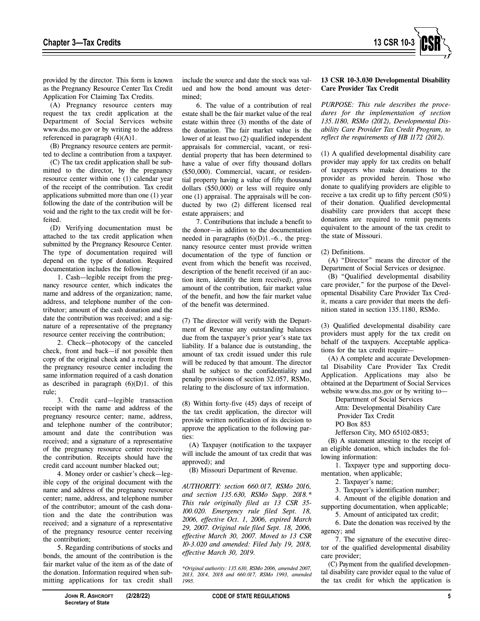

provided by the director. This form is known as the Pregnancy Resource Center Tax Credit Application For Claiming Tax Credits.

(A) Pregnancy resource centers may request the tax credit application at the Department of Social Services website www.dss.mo.gov or by writing to the address referenced in paragraph (4)(A)1.

(B) Pregnancy resource centers are permitted to decline a contribution from a taxpayer.

(C) The tax credit application shall be submitted to the director, by the pregnancy resource center within one (1) calendar year of the receipt of the contribution. Tax credit applications submitted more than one (1) year following the date of the contribution will be void and the right to the tax credit will be forfeited.

(D) Verifying documentation must be attached to the tax credit application when submitted by the Pregnancy Resource Center. The type of documentation required will depend on the type of donation. Required documentation includes the following:

1. Cash—legible receipt from the pregnancy resource center, which indicates the name and address of the organization; name, address, and telephone number of the contributor; amount of the cash donation and the date the contribution was received; and a signature of a representative of the pregnancy resource center receiving the contribution;

2. Check—photocopy of the canceled check, front and back—if not possible then copy of the original check and a receipt from the pregnancy resource center including the same information required of a cash donation as described in paragraph  $(6)(D)1$ . of this rule;

3. Credit card—legible transaction receipt with the name and address of the pregnancy resource center; name, address, and telephone number of the contributor; amount and date the contribution was received; and a signature of a representative of the pregnancy resource center receiving the contribution. Receipts should have the credit card account number blacked out;

4. Money order or cashier's check—legible copy of the original document with the name and address of the pregnancy resource center; name, address, and telephone number of the contributor; amount of the cash donation and the date the contribution was received; and a signature of a representative of the pregnancy resource center receiving the contribution;

5. Regarding contributions of stocks and bonds, the amount of the contribution is the fair market value of the item as of the date of the donation. Information required when submitting applications for tax credit shall

include the source and date the stock was valued and how the bond amount was determined;

6. The value of a contribution of real estate shall be the fair market value of the real estate within three (3) months of the date of the donation. The fair market value is the lower of at least two (2) qualified independent appraisals for commercial, vacant, or residential property that has been determined to have a value of over fifty thousand dollars (\$50,000). Commercial, vacant, or residential property having a value of fifty thousand dollars (\$50,000) or less will require only one (1) appraisal. The appraisals will be conducted by two (2) different licensed real estate appraisers; and

7. Contributions that include a benefit to the donor—in addition to the documentation needed in paragraphs  $(6)(D)1.-6$ , the pregnancy resource center must provide written documentation of the type of function or event from which the benefit was received, description of the benefit received (if an auction item, identify the item received), gross amount of the contribution, fair market value of the benefit, and how the fair market value of the benefit was determined.

(7) The director will verify with the Department of Revenue any outstanding balances due from the taxpayer's prior year's state tax liability. If a balance due is outstanding, the amount of tax credit issued under this rule will be reduced by that amount. The director shall be subject to the confidentiality and penalty provisions of section 32.057, RSMo, relating to the disclosure of tax information.

(8) Within forty-five (45) days of receipt of the tax credit application, the director will provide written notification of its decision to approve the application to the following parties:

(A) Taxpayer (notification to the taxpayer will include the amount of tax credit that was approved); and

(B) Missouri Department of Revenue.

*AUTHORITY: section 660.017, RSMo 2016, and section 135.630, RSMo Supp. 2018.\* This rule originally filed as 13 CSR 35- 100.020. Emergency rule filed Sept. 18, 2006, effective Oct. 1, 2006, expired March 29, 2007. Original rule filed Sept. 18, 2006, effective March 30, 2007. Moved to 13 CSR 10-3.020 and amended: Filed July 19, 2018, effective March 30, 2019.* 

*\*Original authority: 135.630, RSMo 2006, amended 2007, 2013, 2014, 2018 and 660.017, RSMo 1993, amended 1995.*

## **13 CSR 10-3.030 Developmental Disability Care Provider Tax Credit**

*PURPOSE: This rule describes the procedures for the implementation of section 135.1180, RSMo (2012), Developmental Disability Care Provider Tax Credit Program, to reflect the requirements of HB 1172 (2012).* 

(1) A qualified developmental disability care provider may apply for tax credits on behalf of taxpayers who make donations to the provider as provided herein. Those who donate to qualifying providers are eligible to receive a tax credit up to fifty percent (50%) of their donation. Qualified developmental disability care providers that accept these donations are required to remit payments equivalent to the amount of the tax credit to the state of Missouri.

## (2) Definitions.

(A) "Director" means the director of the Department of Social Services or designee.

(B) "Qualified developmental disability care provider," for the purpose of the Developmental Disability Care Provider Tax Credit, means a care provider that meets the definition stated in section 135.1180, RSMo.

(3) Qualified developmental disability care providers must apply for the tax credit on behalf of the taxpayers. Acceptable applications for the tax credit require—

(A) A complete and accurate Developmental Disability Care Provider Tax Credit Application. Applications may also be obtained at the Department of Social Services website www.dss.mo.gov or by writing to—

Department of Social Services

Attn: Developmental Disability Care Provider Tax Credit

PO Box 853

Jefferson City, MO 65102-0853;

(B) A statement attesting to the receipt of an eligible donation, which includes the following information:

1. Taxpayer type and supporting documentation, when applicable;

2. Taxpayer's name;

3. Taxpayer's identification number;

4. Amount of the eligible donation and supporting documentation, when applicable;

5. Amount of anticipated tax credit; 6. Date the donation was received by the agency; and

7. The signature of the executive director of the qualified developmental disability care provider;

(C) Payment from the qualified developmental disability care provider equal to the value of the tax credit for which the application is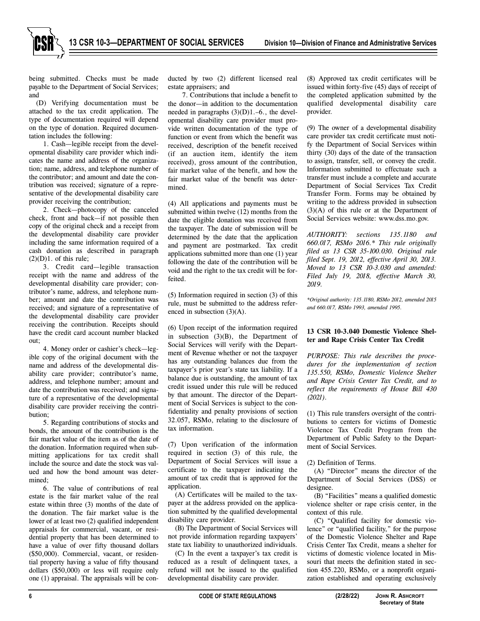being submitted. Checks must be made payable to the Department of Social Services; and

(D) Verifying documentation must be attached to the tax credit application. The type of documentation required will depend on the type of donation. Required documentation includes the following:

1. Cash—legible receipt from the developmental disability care provider which indicates the name and address of the organization; name, address, and telephone number of the contributor; and amount and date the contribution was received; signature of a representative of the developmental disability care provider receiving the contribution;

2. Check—photocopy of the canceled check, front and back—if not possible then copy of the original check and a receipt from the developmental disability care provider including the same information required of a cash donation as described in paragraph  $(2)(D)1$ . of this rule;

3. Credit card—legible transaction receipt with the name and address of the developmental disability care provider; contributor's name, address, and telephone number; amount and date the contribution was received; and signature of a representative of the developmental disability care provider receiving the contribution. Receipts should have the credit card account number blacked out;

4. Money order or cashier's check—legible copy of the original document with the name and address of the developmental disability care provider; contributor's name, address, and telephone number; amount and date the contribution was received; and signature of a representative of the developmental disability care provider receiving the contribution;

5. Regarding contributions of stocks and bonds, the amount of the contribution is the fair market value of the item as of the date of the donation. Information required when submitting applications for tax credit shall include the source and date the stock was valued and how the bond amount was determined;

6. The value of contributions of real estate is the fair market value of the real estate within three (3) months of the date of the donation. The fair market value is the lower of at least two (2) qualified independent appraisals for commercial, vacant, or residential property that has been determined to have a value of over fifty thousand dollars (\$50,000). Commercial, vacant, or residential property having a value of fifty thousand dollars (\$50,000) or less will require only one (1) appraisal. The appraisals will be conducted by two (2) different licensed real estate appraisers; and

7. Contributions that include a benefit to the donor—in addition to the documentation needed in paragraphs (3)(D)1.–6., the developmental disability care provider must provide written documentation of the type of function or event from which the benefit was received, description of the benefit received (if an auction item, identify the item received), gross amount of the contribution, fair market value of the benefit, and how the fair market value of the benefit was determined.

(4) All applications and payments must be submitted within twelve (12) months from the date the eligible donation was received from the taxpayer. The date of submission will be determined by the date that the application and payment are postmarked. Tax credit applications submitted more than one (1) year following the date of the contribution will be void and the right to the tax credit will be forfeited.

(5) Information required in section (3) of this rule, must be submitted to the address referenced in subsection (3)(A).

(6) Upon receipt of the information required in subsection (3)(B), the Department of Social Services will verify with the Department of Revenue whether or not the taxpayer has any outstanding balances due from the taxpayer's prior year's state tax liability. If a balance due is outstanding, the amount of tax credit issued under this rule will be reduced by that amount. The director of the Department of Social Services is subject to the confidentiality and penalty provisions of section 32.057, RSMo, relating to the disclosure of tax information.

(7) Upon verification of the information required in section (3) of this rule, the Department of Social Services will issue a certificate to the taxpayer indicating the amount of tax credit that is approved for the application.

(A) Certificates will be mailed to the taxpayer at the address provided on the application submitted by the qualified developmental disability care provider.

(B) The Department of Social Services will not provide information regarding taxpayers' state tax liability to unauthorized individuals.

(C) In the event a taxpayer's tax credit is reduced as a result of delinquent taxes, a refund will not be issued to the qualified developmental disability care provider.

(8) Approved tax credit certificates will be issued within forty-five (45) days of receipt of the completed application submitted by the qualified developmental disability care provider.

(9) The owner of a developmental disability care provider tax credit certificate must notify the Department of Social Services within thirty (30) days of the date of the transaction to assign, transfer, sell, or convey the credit. Information submitted to effectuate such a transfer must include a complete and accurate Department of Social Services Tax Credit Transfer Form. Forms may be obtained by writing to the address provided in subsection (3)(A) of this rule or at the Department of Social Services website: www.dss.mo.gov.

*AUTHORITY: sections 135.1180 and 660.017, RSMo 2016.\* This rule originally filed as 13 CSR 35-100.030. Original rule filed Sept. 19, 2012, effective April 30, 2013. Moved to 13 CSR 10-3.030 and amended: Filed July 19, 2018, effective March 30, 2019.* 

*\*Original authority: 135.1180, RSMo 2012, amended 2015 and 660.017, RSMo 1993, amended 1995.*

#### **13 CSR 10-3.040 Domestic Violence Shelter and Rape Crisis Center Tax Credit**

*PURPOSE: This rule describes the procedures for the implementation of section 135.550, RSMo, Domestic Violence Shelter and Rape Crisis Center Tax Credit, and to reflect the requirements of House Bill 430 (2021).* 

(1) This rule transfers oversight of the contributions to centers for victims of Domestic Violence Tax Credit Program from the Department of Public Safety to the Department of Social Services.

(2) Definition of Terms.

(A) "Director" means the director of the Department of Social Services (DSS) or designee.

(B) "Facilities" means a qualified domestic violence shelter or rape crisis center, in the context of this rule.

(C) "Qualified facility for domestic violence" or "qualified facility," for the purpose of the Domestic Violence Shelter and Rape Crisis Center Tax Credit, means a shelter for victims of domestic violence located in Missouri that meets the definition stated in section 455.220, RSMo, or a nonprofit organization established and operating exclusively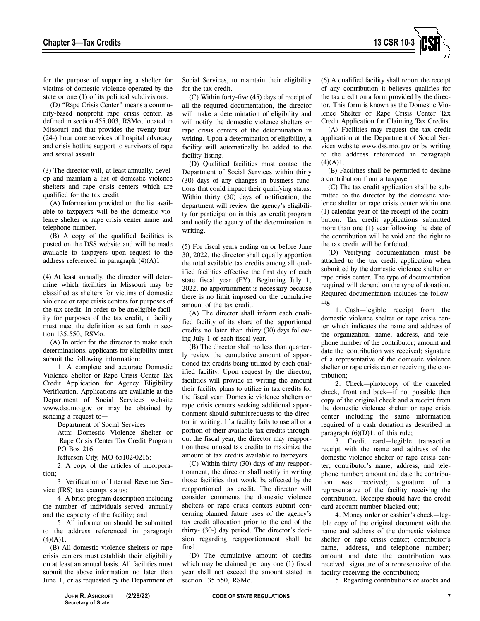

for the purpose of supporting a shelter for victims of domestic violence operated by the state or one (1) of its political subdivisions.

(D) "Rape Crisis Center" means a community-based nonprofit rape crisis center, as defined in section 455.003, RSMo, located in Missouri and that provides the twenty-four- (24-) hour core services of hospital advocacy and crisis hotline support to survivors of rape and sexual assault.

(3) The director will, at least annually, develop and maintain a list of domestic violence shelters and rape crisis centers which are qualified for the tax credit.

(A) Information provided on the list available to taxpayers will be the domestic violence shelter or rape crisis center name and telephone number.

(B) A copy of the qualified facilities is posted on the DSS website and will be made available to taxpayers upon request to the address referenced in paragraph (4)(A)1.

(4) At least annually, the director will determine which facilities in Missouri may be classified as shelters for victims of domestic violence or rape crisis centers for purposes of the tax credit. In order to be an eligible facility for purposes of the tax credit, a facility must meet the definition as set forth in section 135.550, RSMo.

(A) In order for the director to make such determinations, applicants for eligibility must submit the following information:

1. A complete and accurate Domestic Violence Shelter or Rape Crisis Center Tax Credit Application for Agency Eligibility Verification. Applications are available at the Department of Social Services website www.dss.mo.gov or may be obtained by sending a request to—

Department of Social Services

Attn: Domestic Violence Shelter or Rape Crisis Center Tax Credit Program PO Box 216

Jefferson City, MO 65102-0216;

2. A copy of the articles of incorporation;

3. Verification of Internal Revenue Service (IRS) tax exempt status;

4. A brief program description including the number of individuals served annually and the capacity of the facility; and

5. All information should be submitted to the address referenced in paragraph  $(4)(A)1$ .

(B) All domestic violence shelters or rape crisis centers must establish their eligibility on at least an annual basis. All facilities must submit the above information no later than June 1, or as requested by the Department of Social Services, to maintain their eligibility for the tax credit.

(C) Within forty-five (45) days of receipt of all the required documentation, the director will make a determination of eligibility and will notify the domestic violence shelters or rape crisis centers of the determination in writing. Upon a determination of eligibility, a facility will automatically be added to the facility listing.

(D) Qualified facilities must contact the Department of Social Services within thirty (30) days of any changes in business functions that could impact their qualifying status. Within thirty (30) days of notification, the department will review the agency's eligibility for participation in this tax credit program and notify the agency of the determination in writing.

(5) For fiscal years ending on or before June 30, 2022, the director shall equally apportion the total available tax credits among all qualified facilities effective the first day of each state fiscal year (FY). Beginning July 1, 2022, no apportionment is necessary because there is no limit imposed on the cumulative amount of the tax credit.

(A) The director shall inform each qualified facility of its share of the apportioned credits no later than thirty (30) days following July 1 of each fiscal year.

(B) The director shall no less than quarterly review the cumulative amount of apportioned tax credits being utilized by each qualified facility. Upon request by the director, facilities will provide in writing the amount their facility plans to utilize in tax credits for the fiscal year. Domestic violence shelters or rape crisis centers seeking additional apportionment should submit requests to the director in writing. If a facility fails to use all or a portion of their available tax credits throughout the fiscal year, the director may reapportion these unused tax credits to maximize the amount of tax credits available to taxpayers.

(C) Within thirty (30) days of any reapportionment, the director shall notify in writing those facilities that would be affected by the reapportioned tax credit. The director will consider comments the domestic violence shelters or rape crisis centers submit concerning planned future uses of the agency's tax credit allocation prior to the end of the thirty- (30-) day period. The director's decision regarding reapportionment shall be final.

(D) The cumulative amount of credits which may be claimed per any one (1) fiscal year shall not exceed the amount stated in section 135.550, RSMo.

(6) A qualified facility shall report the receipt of any contribution it believes qualifies for the tax credit on a form provided by the director. This form is known as the Domestic Violence Shelter or Rape Crisis Center Tax Credit Application for Claiming Tax Credits.

(A) Facilities may request the tax credit application at the Department of Social Services website www.dss.mo.gov or by writing to the address referenced in paragraph  $(4)(A)1$ .

(B) Facilities shall be permitted to decline a contribution from a taxpayer.

(C) The tax credit application shall be submitted to the director by the domestic violence shelter or rape crisis center within one (1) calendar year of the receipt of the contribution. Tax credit applications submitted more than one (1) year following the date of the contribution will be void and the right to the tax credit will be forfeited.

(D) Verifying documentation must be attached to the tax credit application when submitted by the domestic violence shelter or rape crisis center. The type of documentation required will depend on the type of donation. Required documentation includes the following:

1. Cash—legible receipt from the domestic violence shelter or rape crisis center which indicates the name and address of the organization; name, address, and telephone number of the contributor; amount and date the contribution was received; signature of a representative of the domestic violence shelter or rape crisis center receiving the contribution;

2. Check—photocopy of the canceled check, front and back—if not possible then copy of the original check and a receipt from the domestic violence shelter or rape crisis center including the same information required of a cash donation as described in paragraph  $(6)(D)1$ . of this rule:

3. Credit card—legible transaction receipt with the name and address of the domestic violence shelter or rape crisis center; contributor's name, address, and telephone number; amount and date the contribution was received; signature of a representative of the facility receiving the contribution. Receipts should have the credit card account number blacked out;

4. Money order or cashier's check—legible copy of the original document with the name and address of the domestic violence shelter or rape crisis center; contributor's name, address, and telephone number; amount and date the contribution was received; signature of a representative of the facility receiving the contribution;

5. Regarding contributions of stocks and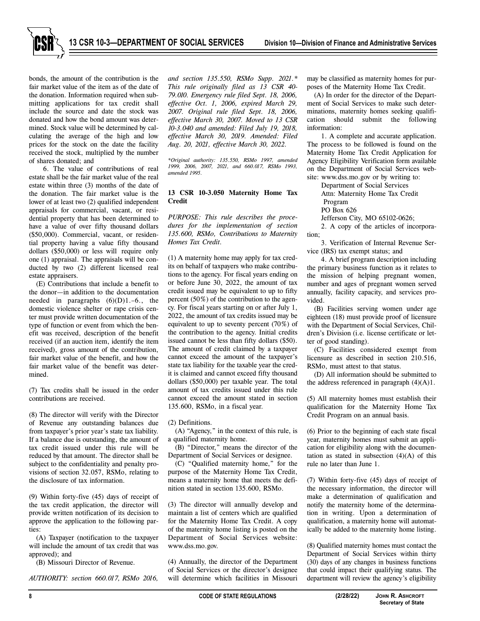

bonds, the amount of the contribution is the fair market value of the item as of the date of the donation. Information required when submitting applications for tax credit shall include the source and date the stock was donated and how the bond amount was determined. Stock value will be determined by calculating the average of the high and low prices for the stock on the date the facility received the stock, multiplied by the number of shares donated; and

6. The value of contributions of real estate shall be the fair market value of the real estate within three (3) months of the date of the donation. The fair market value is the lower of at least two (2) qualified independent appraisals for commercial, vacant, or residential property that has been determined to have a value of over fifty thousand dollars (\$50,000). Commercial, vacant, or residential property having a value fifty thousand dollars (\$50,000) or less will require only one (1) appraisal. The appraisals will be conducted by two (2) different licensed real estate appraisers.

(E) Contributions that include a benefit to the donor—in addition to the documentation needed in paragraphs  $(6)(D)1.-6$ , the domestic violence shelter or rape crisis center must provide written documentation of the type of function or event from which the benefit was received, description of the benefit received (if an auction item, identify the item received), gross amount of the contribution, fair market value of the benefit, and how the fair market value of the benefit was determined.

(7) Tax credits shall be issued in the order contributions are received.

(8) The director will verify with the Director of Revenue any outstanding balances due from taxpayer's prior year's state tax liability. If a balance due is outstanding, the amount of tax credit issued under this rule will be reduced by that amount. The director shall be subject to the confidentiality and penalty provisions of section 32.057, RSMo, relating to the disclosure of tax information.

(9) Within forty-five (45) days of receipt of the tax credit application, the director will provide written notification of its decision to approve the application to the following parties:

(A) Taxpayer (notification to the taxpayer will include the amount of tax credit that was approved); and

(B) Missouri Director of Revenue.

*AUTHORITY: section 660.017, RSMo 2016,* 

*and section 135.550, RSMo Supp. 2021.\* This rule originally filed as 13 CSR 40- 79.010. Emergency rule filed Sept. 18, 2006, effective Oct. 1, 2006, expired March 29, 2007. Original rule filed Sept. 18, 2006, effective March 30, 2007. Moved to 13 CSR 10-3.040 and amended: Filed July 19, 2018, effective March 30, 2019. Amended: Filed Aug. 20, 2021, effective March 30, 2022.* 

*\*Original authority: 135.550, RSMo 1997, amended 1999, 2006, 2007, 2021, and 660.017, RSMo 1993, amended 1995.* 

## **13 CSR 10-3.050 Maternity Home Tax Credit**

*PURPOSE: This rule describes the procedures for the implementation of section 135.600, RSMo, Contributions to Maternity Homes Tax Credit.* 

(1) A maternity home may apply for tax credits on behalf of taxpayers who make contributions to the agency. For fiscal years ending on or before June 30, 2022, the amount of tax credit issued may be equivalent to up to fifty percent (50%) of the contribution to the agency. For fiscal years starting on or after July 1, 2022, the amount of tax credits issued may be equivalent to up to seventy percent (70%) of the contribution to the agency. Initial credits issued cannot be less than fifty dollars (\$50). The amount of credit claimed by a taxpayer cannot exceed the amount of the taxpayer's state tax liability for the taxable year the credit is claimed and cannot exceed fifty thousand dollars (\$50,000) per taxable year. The total amount of tax credits issued under this rule cannot exceed the amount stated in section 135.600, RSMo, in a fiscal year.

(2) Definitions.

(A) "Agency," in the context of this rule, is a qualified maternity home.

(B) "Director," means the director of the Department of Social Services or designee.

(C) "Qualified maternity home," for the purpose of the Maternity Home Tax Credit, means a maternity home that meets the definition stated in section 135.600, RSMo.

(3) The director will annually develop and maintain a list of centers which are qualified for the Maternity Home Tax Credit. A copy of the maternity home listing is posted on the Department of Social Services website: www.dss.mo.gov.

(4) Annually, the director of the Department of Social Services or the director's designee will determine which facilities in Missouri may be classified as maternity homes for purposes of the Maternity Home Tax Credit.

(A) In order for the director of the Department of Social Services to make such determinations, maternity homes seeking qualification should submit the following information:

1. A complete and accurate application. The process to be followed is found on the Maternity Home Tax Credit Application for Agency Eligibility Verification form available on the Department of Social Services website: www.dss.mo.gov or by writing to:

Department of Social Services

Attn: Maternity Home Tax Credit Program

PO Box 626

Jefferson City, MO 65102-0626;

2. A copy of the articles of incorporation;

3. Verification of Internal Revenue Service (IRS) tax exempt status; and

4. A brief program description including the primary business function as it relates to the mission of helping pregnant women, number and ages of pregnant women served annually, facility capacity, and services provided.

(B) Facilities serving women under age eighteen (18) must provide proof of licensure with the Department of Social Services, Children's Division (i.e. license certificate or letter of good standing).

(C) Facilities considered exempt from licensure as described in section 210.516, RSMo, must attest to that status.

(D) All information should be submitted to the address referenced in paragraph  $(4)(A)1$ .

(5) All maternity homes must establish their qualification for the Maternity Home Tax Credit Program on an annual basis.

(6) Prior to the beginning of each state fiscal year, maternity homes must submit an application for eligibility along with the documentation as stated in subsection  $(4)(A)$  of this rule no later than June 1.

(7) Within forty-five (45) days of receipt of the necessary information, the director will make a determination of qualification and notify the maternity home of the determination in writing. Upon a determination of qualification, a maternity home will automatically be added to the maternity home listing.

(8) Qualified maternity homes must contact the Department of Social Services within thirty (30) days of any changes in business functions that could impact their qualifying status. The department will review the agency's eligibility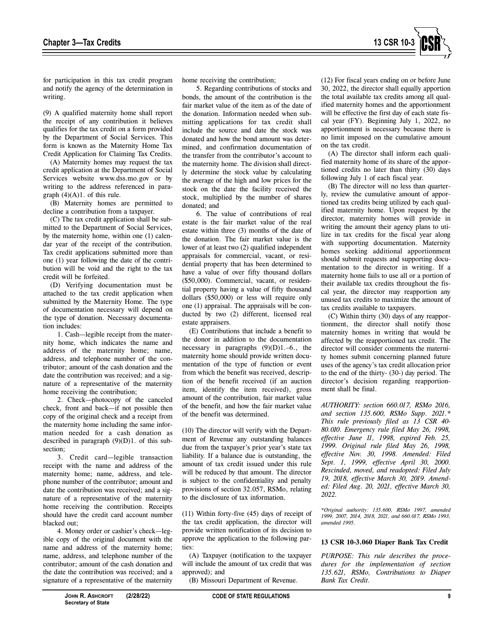

for participation in this tax credit program and notify the agency of the determination in writing.

(9) A qualified maternity home shall report the receipt of any contribution it believes qualifies for the tax credit on a form provided by the Department of Social Services. This form is known as the Maternity Home Tax Credit Application for Claiming Tax Credits.

(A) Maternity homes may request the tax credit application at the Department of Social Services website www.dss.mo.gov or by writing to the address referenced in paragraph  $(4)(A)1$ . of this rule.

(B) Maternity homes are permitted to decline a contribution from a taxpayer.

(C) The tax credit application shall be submitted to the Department of Social Services, by the maternity home, within one (1) calendar year of the receipt of the contribution. Tax credit applications submitted more than one (1) year following the date of the contribution will be void and the right to the tax credit will be forfeited.

(D) Verifying documentation must be attached to the tax credit application when submitted by the Maternity Home. The type of documentation necessary will depend on the type of donation. Necessary documentation includes:

1. Cash—legible receipt from the maternity home, which indicates the name and address of the maternity home; name, address, and telephone number of the contributor; amount of the cash donation and the date the contribution was received; and a signature of a representative of the maternity home receiving the contribution;

2. Check—photocopy of the canceled check, front and back—if not possible then copy of the original check and a receipt from the maternity home including the same information needed for a cash donation as described in paragraph (9)(D)1. of this subsection;

3. Credit card—legible transaction receipt with the name and address of the maternity home; name, address, and telephone number of the contributor; amount and date the contribution was received; and a signature of a representative of the maternity home receiving the contribution. Receipts should have the credit card account number blacked out;

4. Money order or cashier's check—legible copy of the original document with the name and address of the maternity home; name, address, and telephone number of the contributor; amount of the cash donation and the date the contribution was received; and a signature of a representative of the maternity

home receiving the contribution;

5. Regarding contributions of stocks and bonds, the amount of the contribution is the fair market value of the item as of the date of the donation. Information needed when submitting applications for tax credit shall include the source and date the stock was donated and how the bond amount was determined, and confirmation documentation of the transfer from the contributor's account to the maternity home. The division shall directly determine the stock value by calculating the average of the high and low prices for the stock on the date the facility received the stock, multiplied by the number of shares donated; and

6. The value of contributions of real estate is the fair market value of the real estate within three (3) months of the date of the donation. The fair market value is the lower of at least two (2) qualified independent appraisals for commercial, vacant, or residential property that has been determined to have a value of over fifty thousand dollars (\$50,000). Commercial, vacant, or residential property having a value of fifty thousand dollars (\$50,000) or less will require only one (1) appraisal. The appraisals will be conducted by two (2) different, licensed real estate appraisers.

(E) Contributions that include a benefit to the donor in addition to the documentation necessary in paragraphs  $(9)(D)1.-6$ , the maternity home should provide written documentation of the type of function or event from which the benefit was received, description of the benefit received (if an auction item, identify the item received), gross amount of the contribution, fair market value of the benefit, and how the fair market value of the benefit was determined.

(10) The director will verify with the Department of Revenue any outstanding balances due from the taxpayer's prior year's state tax liability. If a balance due is outstanding, the amount of tax credit issued under this rule will be reduced by that amount. The director is subject to the confidentiality and penalty provisions of section 32.057, RSMo, relating to the disclosure of tax information.

(11) Within forty-five (45) days of receipt of the tax credit application, the director will provide written notification of its decision to approve the application to the following parties:

(A) Taxpayer (notification to the taxpayer will include the amount of tax credit that was approved); and

(B) Missouri Department of Revenue.

(12) For fiscal years ending on or before June 30, 2022, the director shall equally apportion the total available tax credits among all qualified maternity homes and the apportionment will be effective the first day of each state fiscal year (FY). Beginning July 1, 2022, no apportionment is necessary because there is no limit imposed on the cumulative amount on the tax credit.

(A) The director shall inform each qualified maternity home of its share of the apportioned credits no later than thirty (30) days following July 1 of each fiscal year.

(B) The director will no less than quarterly, review the cumulative amount of apportioned tax credits being utilized by each qualified maternity home. Upon request by the director, maternity homes will provide in writing the amount their agency plans to utilize in tax credits for the fiscal year along with supporting documentation. Maternity homes seeking additional apportionment should submit requests and supporting documentation to the director in writing. If a maternity home fails to use all or a portion of their available tax credits throughout the fiscal year, the director may reapportion any unused tax credits to maximize the amount of tax credits available to taxpayers.

(C) Within thirty (30) days of any reapportionment, the director shall notify those maternity homes in writing that would be affected by the reapportioned tax credit. The director will consider comments the maternity homes submit concerning planned future uses of the agency's tax credit allocation prior to the end of the thirty- (30-) day period. The director's decision regarding reapportionment shall be final.

*AUTHORITY: section 660.017, RSMo 2016, and section 135.600, RSMo Supp. 2021.\* This rule previously filed as 13 CSR 40- 80.010. Emergency rule filed May 26, 1998, effective June 11, 1998, expired Feb. 25, 1999. Original rule filed May 26, 1998, effective Nov. 30, 1998. Amended: Filed Sept. 1, 1999, effective April 30, 2000. Rescinded, moved, and readopted: Filed July 19, 2018, effective March 30, 2019. Amended: Filed Aug. 20, 2021, effective March 30, 2022.* 

*\*Original authority: 135.600, RSMo 1997, amended 1999, 2007, 2014, 2018, 2021, and 660.017, RSMo 1993, amended 1995.* 

#### **13 CSR 10-3.060 Diaper Bank Tax Credit**

*PURPOSE: This rule describes the procedures for the implementation of section 135.621, RSMo, Contributions to Diaper Bank Tax Credit.*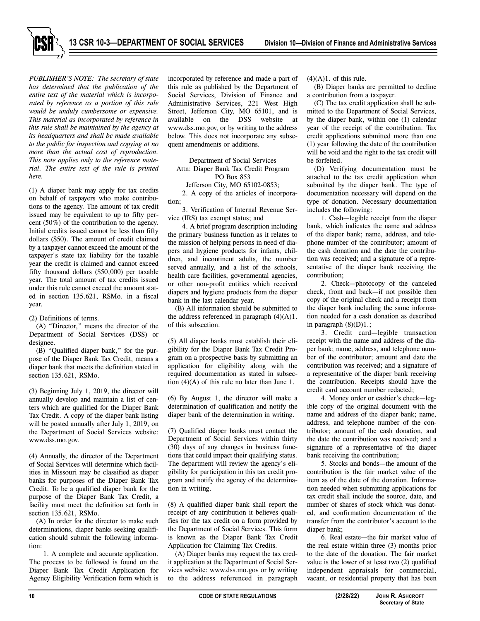

**13 CSR 10-3—DEPARTMENT OF SOCIAL SERVICES Division 10—Division of Finance and Administrative Services**

*PUBLISHER'S NOTE: The secretary of state has determined that the publication of the entire text of the material which is incorporated by reference as a portion of this rule would be unduly cumbersome or expensive. This material as incorporated by reference in this rule shall be maintained by the agency at its headquarters and shall be made available to the public for inspection and copying at no more than the actual cost of reproduction. This note applies only to the reference material. The entire text of the rule is printed here.* 

(1) A diaper bank may apply for tax credits on behalf of taxpayers who make contributions to the agency. The amount of tax credit issued may be equivalent to up to fifty percent (50%) of the contribution to the agency. Initial credits issued cannot be less than fifty dollars (\$50). The amount of credit claimed by a taxpayer cannot exceed the amount of the taxpayer's state tax liability for the taxable year the credit is claimed and cannot exceed fifty thousand dollars (\$50,000) per taxable year. The total amount of tax credits issued under this rule cannot exceed the amount stated in section 135.621, RSMo. in a fiscal year.

(2) Definitions of terms.

(A) "Director," means the director of the Department of Social Services (DSS) or designee.

(B) "Qualified diaper bank," for the purpose of the Diaper Bank Tax Credit, means a diaper bank that meets the definition stated in section 135.621, RSMo.

(3) Beginning July 1, 2019, the director will annually develop and maintain a list of centers which are qualified for the Diaper Bank Tax Credit. A copy of the diaper bank listing will be posted annually after July 1, 2019, on the Department of Social Services website: www.dss.mo.gov.

(4) Annually, the director of the Department of Social Services will determine which facilities in Missouri may be classified as diaper banks for purposes of the Diaper Bank Tax Credit. To be a qualified diaper bank for the purpose of the Diaper Bank Tax Credit, a facility must meet the definition set forth in section 135.621, RSMo.

(A) In order for the director to make such determinations, diaper banks seeking qualification should submit the following information:

1. A complete and accurate application. The process to be followed is found on the Diaper Bank Tax Credit Application for Agency Eligibility Verification form which is

incorporated by reference and made a part of this rule as published by the Department of Social Services, Division of Finance and Administrative Services, 221 West High Street, Jefferson City, MO 65101, and is available on the DSS website at www.dss.mo.gov, or by writing to the address below. This does not incorporate any subsequent amendments or additions.

Department of Social Services Attn: Diaper Bank Tax Credit Program PO Box 853

Jefferson City, MO 65102-0853;

2. A copy of the articles of incorporation;

3. Verification of Internal Revenue Service (IRS) tax exempt status; and

4. A brief program description including the primary business function as it relates to the mission of helping persons in need of diapers and hygiene products for infants, children, and incontinent adults, the number served annually, and a list of the schools, health care facilities, governmental agencies, or other non-profit entities which received diapers and hygiene products from the diaper bank in the last calendar year.

(B) All information should be submitted to the address referenced in paragraph  $(4)(A)1$ . of this subsection.

(5) All diaper banks must establish their eligibility for the Diaper Bank Tax Credit Program on a prospective basis by submitting an application for eligibility along with the required documentation as stated in subsection  $(4)(A)$  of this rule no later than June 1.

(6) By August 1, the director will make a determination of qualification and notify the diaper bank of the determination in writing.

(7) Qualified diaper banks must contact the Department of Social Services within thirty (30) days of any changes in business functions that could impact their qualifying status. The department will review the agency's eligibility for participation in this tax credit program and notify the agency of the determination in writing.

(8) A qualified diaper bank shall report the receipt of any contribution it believes qualifies for the tax credit on a form provided by the Department of Social Services. This form is known as the Diaper Bank Tax Credit Application for Claiming Tax Credits.

(A) Diaper banks may request the tax credit application at the Department of Social Services website: www.dss.mo.gov or by writing to the address referenced in paragraph  $(4)(A)1$ . of this rule.

(B) Diaper banks are permitted to decline a contribution from a taxpayer.

(C) The tax credit application shall be submitted to the Department of Social Services, by the diaper bank, within one (1) calendar year of the receipt of the contribution. Tax credit applications submitted more than one (1) year following the date of the contribution will be void and the right to the tax credit will be forfeited.

(D) Verifying documentation must be attached to the tax credit application when submitted by the diaper bank. The type of documentation necessary will depend on the type of donation. Necessary documentation includes the following:

1. Cash—legible receipt from the diaper bank, which indicates the name and address of the diaper bank; name, address, and telephone number of the contributor; amount of the cash donation and the date the contribution was received; and a signature of a representative of the diaper bank receiving the contribution;

2. Check—photocopy of the canceled check, front and back—if not possible then copy of the original check and a receipt from the diaper bank including the same information needed for a cash donation as described in paragraph  $(8)(D)1$ .;

3. Credit card—legible transaction receipt with the name and address of the diaper bank; name, address, and telephone number of the contributor; amount and date the contribution was received; and a signature of a representative of the diaper bank receiving the contribution. Receipts should have the credit card account number redacted;

4. Money order or cashier's check—legible copy of the original document with the name and address of the diaper bank; name, address, and telephone number of the contributor; amount of the cash donation, and the date the contribution was received; and a signature of a representative of the diaper bank receiving the contribution;

5. Stocks and bonds—the amount of the contribution is the fair market value of the item as of the date of the donation. Information needed when submitting applications for tax credit shall include the source, date, and number of shares of stock which was donated, and confirmation documentation of the transfer from the contributor's account to the diaper bank;

6. Real estate—the fair market value of the real estate within three (3) months prior to the date of the donation. The fair market value is the lower of at least two (2) qualified independent appraisals for commercial, vacant, or residential property that has been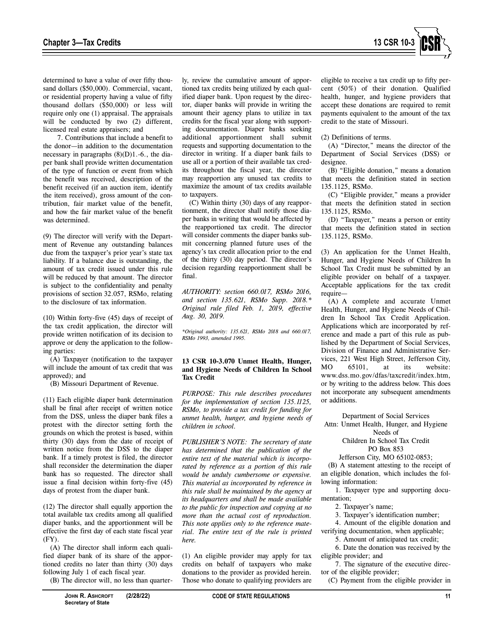

determined to have a value of over fifty thousand dollars (\$50,000). Commercial, vacant, or residential property having a value of fifty thousand dollars (\$50,000) or less will require only one (1) appraisal. The appraisals will be conducted by two  $(2)$  different, licensed real estate appraisers; and

7. Contributions that include a benefit to the donor—in addition to the documentation necessary in paragraphs  $(8)(D)1.-6$ , the diaper bank shall provide written documentation of the type of function or event from which the benefit was received, description of the benefit received (if an auction item, identify the item received), gross amount of the contribution, fair market value of the benefit, and how the fair market value of the benefit was determined.

(9) The director will verify with the Department of Revenue any outstanding balances due from the taxpayer's prior year's state tax liability. If a balance due is outstanding, the amount of tax credit issued under this rule will be reduced by that amount. The director is subject to the confidentiality and penalty provisions of section 32.057, RSMo, relating to the disclosure of tax information.

(10) Within forty-five (45) days of receipt of the tax credit application, the director will provide written notification of its decision to approve or deny the application to the following parties:

(A) Taxpayer (notification to the taxpayer will include the amount of tax credit that was approved); and

(B) Missouri Department of Revenue.

(11) Each eligible diaper bank determination shall be final after receipt of written notice from the DSS, unless the diaper bank files a protest with the director setting forth the grounds on which the protest is based, within thirty (30) days from the date of receipt of written notice from the DSS to the diaper bank. If a timely protest is filed, the director shall reconsider the determination the diaper bank has so requested. The director shall issue a final decision within forty-five (45) days of protest from the diaper bank.

(12) The director shall equally apportion the total available tax credits among all qualified diaper banks, and the apportionment will be effective the first day of each state fiscal year (FY).

(A) The director shall inform each qualified diaper bank of its share of the apportioned credits no later than thirty (30) days following July 1 of each fiscal year.

(B) The director will, no less than quarter-

Those who donate to qualifying providers are

(1) An eligible provider may apply for tax credits on behalf of taxpayers who make donations to the provider as provided herein.

ly, review the cumulative amount of apportioned tax credits being utilized by each qualified diaper bank. Upon request by the director, diaper banks will provide in writing the amount their agency plans to utilize in tax credits for the fiscal year along with supporting documentation. Diaper banks seeking additional apportionment shall submit requests and supporting documentation to the director in writing. If a diaper bank fails to use all or a portion of their available tax credits throughout the fiscal year, the director may reapportion any unused tax credits to maximize the amount of tax credits available

(C) Within thirty (30) days of any reapportionment, the director shall notify those diaper banks in writing that would be affected by the reapportioned tax credit. The director will consider comments the diaper banks submit concerning planned future uses of the agency's tax credit allocation prior to the end of the thirty (30) day period. The director's decision regarding reapportionment shall be

*AUTHORITY: section 660.017, RSMo 2016, and section 135.621, RSMo Supp. 2018.\* Original rule filed Feb. 1, 2019, effective* 

*\*Original authority: 135.621, RSMo 2018 and 660.017,* 

**13 CSR 10-3.070 Unmet Health, Hunger, and Hygiene Needs of Children In School** 

*PURPOSE: This rule describes procedures for the implementation of section 135.1125, RSMo, to provide a tax credit for funding for unmet health, hunger, and hygiene needs of* 

*PUBLISHER'S NOTE: The secretary of state has determined that the publication of the entire text of the material which is incorporated by reference as a portion of this rule would be unduly cumbersome or expensive. This material as incorporated by reference in this rule shall be maintained by the agency at its headquarters and shall be made available to the public for inspection and copying at no more than the actual cost of reproduction. This note applies only to the reference material. The entire text of the rule is printed* 

to taxpayers.

final.

*Aug. 30, 2019.* 

**Tax Credit** 

*here.* 

*children in school.* 

*RSMo 1993, amended 1995.* 

eligible to receive a tax credit up to fifty percent (50%) of their donation. Qualified health, hunger, and hygiene providers that accept these donations are required to remit payments equivalent to the amount of the tax credit to the state of Missouri.

(2) Definitions of terms.

(A) "Director," means the director of the Department of Social Services (DSS) or designee.

(B) "Eligible donation," means a donation that meets the definition stated in section 135.1125, RSMo.

(C) "Eligible provider," means a provider that meets the definition stated in section 135.1125, RSMo.

(D) "Taxpayer," means a person or entity that meets the definition stated in section 135.1125, RSMo.

(3) An application for the Unmet Health, Hunger, and Hygiene Needs of Children In School Tax Credit must be submitted by an eligible provider on behalf of a taxpayer. Acceptable applications for the tax credit require—

(A) A complete and accurate Unmet Health, Hunger, and Hygiene Needs of Children In School Tax Credit Application. Applications which are incorporated by reference and made a part of this rule as published by the Department of Social Services, Division of Finance and Administrative Services, 221 West High Street, Jefferson City,<br>MO 65101. at its website: MO 65101, at its website: www.dss.mo.gov/dfas/taxcredit/index.htm, or by writing to the address below. This does not incorporate any subsequent amendments or additions.

Department of Social Services

Attn: Unmet Health, Hunger, and Hygiene Needs of

> Children In School Tax Credit PO Box 853

Jefferson City, MO 65102-0853;

(B) A statement attesting to the receipt of an eligible donation, which includes the following information:

1. Taxpayer type and supporting documentation;

2. Taxpayer's name;

3. Taxpayer's identification number;

4. Amount of the eligible donation and verifying documentation, when applicable;

5. Amount of anticipated tax credit; 6. Date the donation was received by the

eligible provider; and

7. The signature of the executive director of the eligible provider;

(C) Payment from the eligible provider in